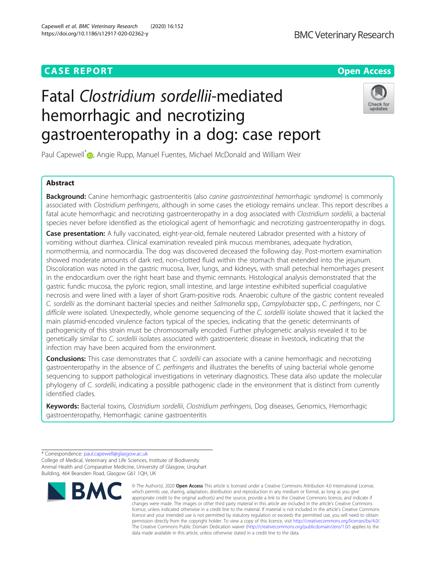# **CASE REPORT CASE ACCESS**

# Fatal Clostridium sordellii-mediated hemorrhagic and necrotizing gastroenteropathy in a dog: case report

Paul Capewell<sup>[\\*](http://orcid.org/0000-0002-8803-5034)</sup><sup>1</sup>, Angie Rupp, Manuel Fuentes, Michael McDonald and William Weir

# Abstract

Background: Canine hemorrhagic gastroenteritis (also canine gastrointestinal hemorrhagic syndrome) is commonly associated with Clostridium perfringens, although in some cases the etiology remains unclear. This report describes a fatal acute hemorrhagic and necrotizing gastroenteropathy in a dog associated with Clostridium sordellii, a bacterial species never before identified as the etiological agent of hemorrhagic and necrotizing gastroenteropathy in dogs.

Case presentation: A fully vaccinated, eight-year-old, female neutered Labrador presented with a history of vomiting without diarrhea. Clinical examination revealed pink mucous membranes, adequate hydration, normothermia, and normocardia. The dog was discovered deceased the following day. Post-mortem examination showed moderate amounts of dark red, non-clotted fluid within the stomach that extended into the jejunum. Discoloration was noted in the gastric mucosa, liver, lungs, and kidneys, with small petechial hemorrhages present in the endocardium over the right heart base and thymic remnants. Histological analysis demonstrated that the gastric fundic mucosa, the pyloric region, small intestine, and large intestine exhibited superficial coagulative necrosis and were lined with a layer of short Gram-positive rods. Anaerobic culture of the gastric content revealed C. sordellii as the dominant bacterial species and neither Salmonella spp., Campylobacter spp., C. perfringens, nor C. difficile were isolated. Unexpectedly, whole genome sequencing of the C. sordellii isolate showed that it lacked the main plasmid-encoded virulence factors typical of the species, indicating that the genetic determinants of pathogenicity of this strain must be chromosomally encoded. Further phylogenetic analysis revealed it to be genetically similar to C. sordellii isolates associated with gastroenteric disease in livestock, indicating that the infection may have been acquired from the environment.

Conclusions: This case demonstrates that C. sordellii can associate with a canine hemorrhagic and necrotizing gastroenteropathy in the absence of C. perfringens and illustrates the benefits of using bacterial whole genome sequencing to support pathological investigations in veterinary diagnostics. These data also update the molecular phylogeny of C. sordellii, indicating a possible pathogenic clade in the environment that is distinct from currently identified clades.

Keywords: Bacterial toxins, Clostridium sordellii, Clostridium perfringens, Dog diseases, Genomics, Hemorrhagic gastroenteropathy, Hemorrhagic canine gastroenteritis

**RM** 



© The Author(s), 2020 **Open Access** This article is licensed under a Creative Commons Attribution 4.0 International License, which permits use, sharing, adaptation, distribution and reproduction in any medium or format, as long as you give



updates

<sup>\*</sup> Correspondence: [paul.capewell@glasgow.ac.uk](mailto:paul.capewell@glasgow.ac.uk) College of Medical, Veterinary and Life Sciences, Institute of Biodiversity Animal Health and Comparative Medicine, University of Glasgow, Urquhart Building, 464 Bearsden Road, Glasgow G61 1QH, UK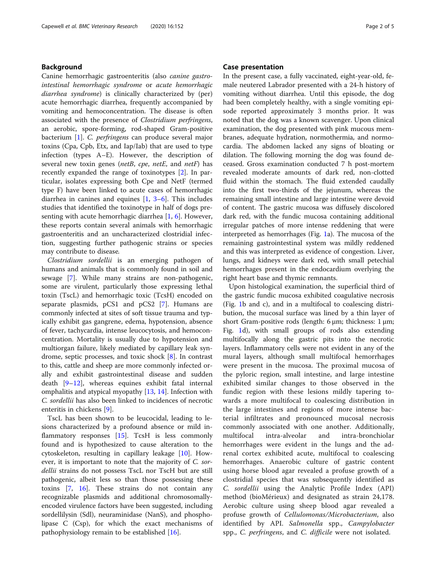# Background

Canine hemorrhagic gastroenteritis (also canine gastrointestinal hemorrhagic syndrome or acute hemorrhagic diarrhea syndrome) is clinically characterized by (per) acute hemorrhagic diarrhea, frequently accompanied by vomiting and hemoconcentration. The disease is often associated with the presence of Clostridium perfringens, an aerobic, spore-forming, rod-shaped Gram-positive bacterium [[1\]](#page-4-0). C. perfringens can produce several major toxins (Cpa, Cpb, Etx, and Iap/Iab) that are used to type infection (types A–E). However, the description of several new toxin genes (netB, cpe, netE, and netF) has recently expanded the range of toxinotypes [[2](#page-4-0)]. In particular, isolates expressing both Cpe and NetF (termed type F) have been linked to acute cases of hemorrhagic diarrhea in canines and equines [\[1](#page-4-0), [3](#page-4-0)–[6](#page-4-0)]. This includes studies that identified the toxinotype in half of dogs presenting with acute hemorrhagic diarrhea  $[1, 6]$  $[1, 6]$  $[1, 6]$  $[1, 6]$ . However, these reports contain several animals with hemorrhagic gastroenteritis and an uncharacterized clostridial infection, suggesting further pathogenic strains or species may contribute to disease.

Clostridium sordellii is an emerging pathogen of humans and animals that is commonly found in soil and sewage [[7\]](#page-4-0). While many strains are non-pathogenic, some are virulent, particularly those expressing lethal toxin (TscL) and hemorrhagic toxic (TcsH) encoded on separate plasmids, pCS1 and pCS2 [[7\]](#page-4-0). Humans are commonly infected at sites of soft tissue trauma and typically exhibit gas gangrene, edema, hypotension, absence of fever, tachycardia, intense leucocytosis, and hemoconcentration. Mortality is usually due to hypotension and multiorgan failure, likely mediated by capillary leak syndrome, septic processes, and toxic shock [[8\]](#page-4-0). In contrast to this, cattle and sheep are more commonly infected orally and exhibit gastrointestinal disease and sudden death [\[9](#page-4-0)–[12\]](#page-4-0), whereas equines exhibit fatal internal omphalitis and atypical myopathy [\[13](#page-4-0), [14](#page-4-0)]. Infection with C. sordellii has also been linked to incidences of necrotic enteritis in chickens [[9\]](#page-4-0).

TscL has been shown to be leucocidal, leading to lesions characterized by a profound absence or mild in-flammatory responses [[15](#page-4-0)]. TcsH is less commonly found and is hypothesized to cause alteration to the cytoskeleton, resulting in capillary leakage [[10\]](#page-4-0). However, it is important to note that the majority of C. sordellii strains do not possess TscL nor TscH but are still pathogenic, albeit less so than those possessing these toxins [[7,](#page-4-0) [16\]](#page-4-0). These strains do not contain any recognizable plasmids and additional chromosomallyencoded virulence factors have been suggested, including sordellilysin (Sdl), neuraminidase (NanS), and phospholipase C (Csp), for which the exact mechanisms of pathophysiology remain to be established [\[16\]](#page-4-0).

# Case presentation

In the present case, a fully vaccinated, eight-year-old, female neutered Labrador presented with a 24-h history of vomiting without diarrhea. Until this episode, the dog had been completely healthy, with a single vomiting episode reported approximately 3 months prior. It was noted that the dog was a known scavenger. Upon clinical examination, the dog presented with pink mucous membranes, adequate hydration, normothermia, and normocardia. The abdomen lacked any signs of bloating or dilation. The following morning the dog was found deceased. Gross examination conducted 7 h post-mortem revealed moderate amounts of dark red, non-clotted fluid within the stomach. The fluid extended caudally into the first two-thirds of the jejunum, whereas the remaining small intestine and large intestine were devoid of content. The gastric mucosa was diffusely discolored dark red, with the fundic mucosa containing additional irregular patches of more intense reddening that were interpreted as hemorrhages (Fig. [1](#page-2-0)a). The mucosa of the remaining gastrointestinal system was mildly reddened and this was interpreted as evidence of congestion. Liver, lungs, and kidneys were dark red, with small petechial hemorrhages present in the endocardium overlying the right heart base and thymic remnants.

Upon histological examination, the superficial third of the gastric fundic mucosa exhibited coagulative necrosis (Fig. [1](#page-2-0)b and c), and in a multifocal to coalescing distribution, the mucosal surface was lined by a thin layer of short Gram-positive rods (length: 6 μm; thickness: 1 μm; Fig. [1](#page-2-0)d), with small groups of rods also extending multifocally along the gastric pits into the necrotic layers. Inflammatory cells were not evident in any of the mural layers, although small multifocal hemorrhages were present in the mucosa. The proximal mucosa of the pyloric region, small intestine, and large intestine exhibited similar changes to those observed in the fundic region with these lesions mildly tapering towards a more multifocal to coalescing distribution in the large intestines and regions of more intense bacterial infiltrates and pronounced mucosal necrosis commonly associated with one another. Additionally, multifocal intra-alveolar and intra-bronchiolar hemorrhages were evident in the lungs and the adrenal cortex exhibited acute, multifocal to coalescing hemorrhages. Anaerobic culture of gastric content using horse blood agar revealed a profuse growth of a clostridial species that was subsequently identified as C. sordellii using the Analytic Profile Index (API) method (bioMérieux) and designated as strain 24,178. Aerobic culture using sheep blood agar revealed a profuse growth of Cellulomonas/Microbacterium, also identified by API. Salmonella spp., Campylobacter spp., C. perfringens, and C. difficile were not isolated.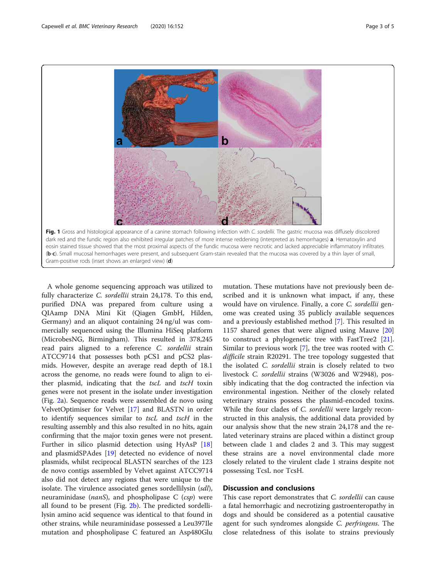<span id="page-2-0"></span>

A whole genome sequencing approach was utilized to fully characterize C. sordellii strain 24,178. To this end, purified DNA was prepared from culture using a QIAamp DNA Mini Kit (Qiagen GmbH, Hilden, Germany) and an aliquot containing 24 ng/ul was commercially sequenced using the Illumina HiSeq platform (MicrobesNG, Birmingham). This resulted in 378,245 read pairs aligned to a reference C. sordellii strain ATCC9714 that possesses both pCS1 and pCS2 plasmids. However, despite an average read depth of 18.1 across the genome, no reads were found to align to either plasmid, indicating that the tscL and tscH toxin genes were not present in the isolate under investigation (Fig. [2a](#page-3-0)). Sequence reads were assembled de novo using VelvetOptimiser for Velvet [[17](#page-4-0)] and BLASTN in order to identify sequences similar to tscL and tscH in the resulting assembly and this also resulted in no hits, again confirming that the major toxin genes were not present. Further in silico plasmid detection using HyAsP [[18](#page-4-0)] and plasmidSPAdes [\[19](#page-4-0)] detected no evidence of novel plasmids, whilst reciprocal BLASTN searches of the 123 de novo contigs assembled by Velvet against ATCC9714 also did not detect any regions that were unique to the isolate. The virulence associated genes sordellilysin (sdl), neuraminidase ( $nanS$ ), and phospholipase C ( $csp$ ) were all found to be present (Fig. [2b\)](#page-3-0). The predicted sordellilysin amino acid sequence was identical to that found in other strains, while neuraminidase possessed a Leu397Ile mutation and phospholipase C featured an Asp480Glu

mutation. These mutations have not previously been described and it is unknown what impact, if any, these would have on virulence. Finally, a core C. sordellii genome was created using 35 publicly available sequences and a previously established method [\[7](#page-4-0)]. This resulted in 1157 shared genes that were aligned using Mauve [[20](#page-4-0)] to construct a phylogenetic tree with FastTree2 [\[21](#page-4-0)]. Similar to previous work [[7\]](#page-4-0), the tree was rooted with C. difficile strain R20291. The tree topology suggested that the isolated C. sordellii strain is closely related to two livestock C. sordellii strains (W3026 and W2948), possibly indicating that the dog contracted the infection via environmental ingestion. Neither of the closely related veterinary strains possess the plasmid-encoded toxins. While the four clades of C. sordellii were largely reconstructed in this analysis, the additional data provided by our analysis show that the new strain 24,178 and the related veterinary strains are placed within a distinct group between clade 1 and clades 2 and 3. This may suggest these strains are a novel environmental clade more closely related to the virulent clade 1 strains despite not possessing TcsL nor TcsH.

# Discussion and conclusions

This case report demonstrates that C. sordellii can cause a fatal hemorrhagic and necrotizing gastroenteropathy in dogs and should be considered as a potential causative agent for such syndromes alongside C. perfringens. The close relatedness of this isolate to strains previously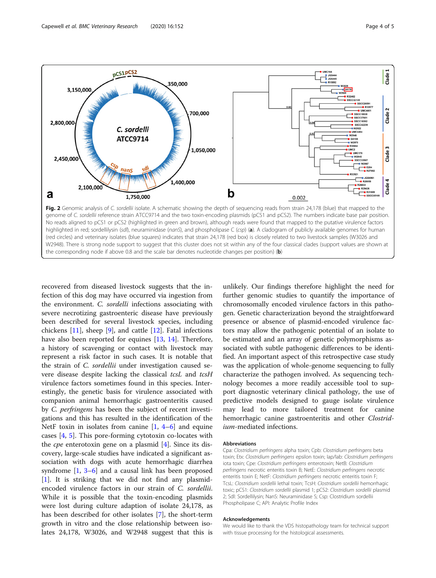<span id="page-3-0"></span>

recovered from diseased livestock suggests that the infection of this dog may have occurred via ingestion from the environment. C. sordelli infections associating with severe necrotizing gastroenteric disease have previously been described for several livestock species, including chickens [[11\]](#page-4-0), sheep [\[9](#page-4-0)], and cattle [[12\]](#page-4-0). Fatal infections have also been reported for equines [[13](#page-4-0), [14\]](#page-4-0). Therefore, a history of scavenging or contact with livestock may represent a risk factor in such cases. It is notable that the strain of C. sordellii under investigation caused severe disease despite lacking the classical tcsL and tcsH virulence factors sometimes found in this species. Interestingly, the genetic basis for virulence associated with companion animal hemorrhagic gastroenteritis caused by C. perfringens has been the subject of recent investigations and this has resulted in the identification of the NetF toxin in isolates from canine  $[1, 4-6]$  $[1, 4-6]$  $[1, 4-6]$  $[1, 4-6]$  $[1, 4-6]$  $[1, 4-6]$  and equine cases [[4,](#page-4-0) [5](#page-4-0)]. This pore-forming cytotoxin co-locates with the *cpe* enterotoxin gene on a plasmid  $[4]$  $[4]$ . Since its discovery, large-scale studies have indicated a significant association with dogs with acute hemorrhagic diarrhea syndrome  $\begin{bmatrix} 1, 3-6 \end{bmatrix}$  $\begin{bmatrix} 1, 3-6 \end{bmatrix}$  $\begin{bmatrix} 1, 3-6 \end{bmatrix}$  $\begin{bmatrix} 1, 3-6 \end{bmatrix}$  $\begin{bmatrix} 1, 3-6 \end{bmatrix}$  $\begin{bmatrix} 1, 3-6 \end{bmatrix}$  $\begin{bmatrix} 1, 3-6 \end{bmatrix}$  and a causal link has been proposed [[1\]](#page-4-0). It is striking that we did not find any plasmidencoded virulence factors in our strain of C. sordellii. While it is possible that the toxin-encoding plasmids were lost during culture adaption of isolate 24,178, as has been described for other isolates [\[7](#page-4-0)], the short-term growth in vitro and the close relationship between isolates 24,178, W3026, and W2948 suggest that this is

unlikely. Our findings therefore highlight the need for further genomic studies to quantify the importance of chromosomally encoded virulence factors in this pathogen. Genetic characterization beyond the straightforward presence or absence of plasmid-encoded virulence factors may allow the pathogenic potential of an isolate to be estimated and an array of genetic polymorphisms associated with subtle pathogenic differences to be identified. An important aspect of this retrospective case study was the application of whole-genome sequencing to fully characterize the pathogen involved. As sequencing technology becomes a more readily accessible tool to support diagnostic veterinary clinical pathology, the use of predictive models designed to gauge isolate virulence may lead to more tailored treatment for canine hemorrhagic canine gastroenteritis and other Clostridium-mediated infections.

#### Abbreviations

Cpa: Clostridium perfringens alpha toxin; Cpb: Clostridium perfringens beta toxin; Etx: Clostridium perfringens epsilon toxin; Iap/Iab: Clostridium perfringens iota toxin; Cpe: Clostridium perfringens enterotoxin; NetB: Clostridium perfringens necrotic enteritis toxin B; NetE: Clostridium perfringens necrotic enteritis toxin E; NetF: Clostridium perfringens necrotic enteritis toxin F; TcsL: Clostridium sordellii lethal toxin; TcsH: Clostridium sordellii hemorrhagic toxic; pCS1: Clostridium sordellii plasmid 1; pCS2: Clostridium sordellii plasmid 2; Sdl: Sordellilysin; NanS: Neuraminidase S; Csp: Clostridium sordellii Phospholipase C; API: Analytic Profile Index

#### Acknowledgements

We would like to thank the VDS histopathology team for technical support with tissue processing for the histological assessments.